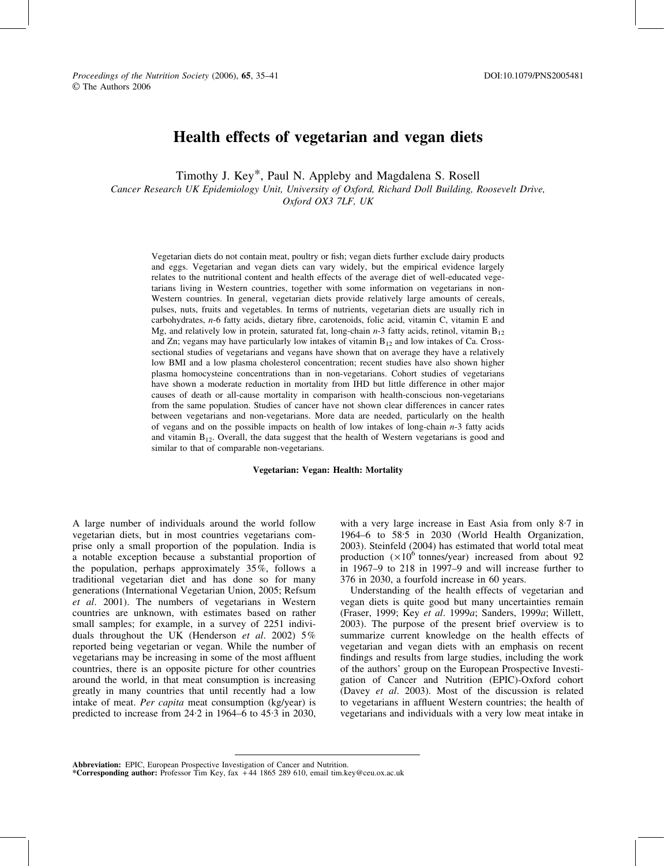Proceedings of the Nutrition Society (2006), 65, 35–41 DOI:10.1079/PNS2005481 *g* The Authors 2006

# Health effects of vegetarian and vegan diets

Timothy J. Key\*, Paul N. Appleby and Magdalena S. Rosell

Cancer Research UK Epidemiology Unit, University of Oxford, Richard Doll Building, Roosevelt Drive, Oxford OX3 7LF, UK

Vegetarian diets do not contain meat, poultry or fish; vegan diets further exclude dairy products and eggs. Vegetarian and vegan diets can vary widely, but the empirical evidence largely relates to the nutritional content and health effects of the average diet of well-educated vegetarians living in Western countries, together with some information on vegetarians in non-Western countries. In general, vegetarian diets provide relatively large amounts of cereals, pulses, nuts, fruits and vegetables. In terms of nutrients, vegetarian diets are usually rich in carbohydrates, n-6 fatty acids, dietary fibre, carotenoids, folic acid, vitamin C, vitamin E and Mg, and relatively low in protein, saturated fat, long-chain  $n-3$  fatty acids, retinol, vitamin  $B_{12}$ and Zn; vegans may have particularly low intakes of vitamin  $B_{12}$  and low intakes of Ca. Crosssectional studies of vegetarians and vegans have shown that on average they have a relatively low BMI and a low plasma cholesterol concentration; recent studies have also shown higher plasma homocysteine concentrations than in non-vegetarians. Cohort studies of vegetarians have shown a moderate reduction in mortality from IHD but little difference in other major causes of death or all-cause mortality in comparison with health-conscious non-vegetarians from the same population. Studies of cancer have not shown clear differences in cancer rates between vegetarians and non-vegetarians. More data are needed, particularly on the health of vegans and on the possible impacts on health of low intakes of long-chain n-3 fatty acids and vitamin  $B_{12}$ . Overall, the data suggest that the health of Western vegetarians is good and similar to that of comparable non-vegetarians.

# Vegetarian: Vegan: Health: Mortality

A large number of individuals around the world follow vegetarian diets, but in most countries vegetarians comprise only a small proportion of the population. India is a notable exception because a substantial proportion of the population, perhaps approximately 35%, follows a traditional vegetarian diet and has done so for many generations (International Vegetarian Union, 2005; Refsum et al. 2001). The numbers of vegetarians in Western countries are unknown, with estimates based on rather small samples; for example, in a survey of 2251 individuals throughout the UK (Henderson et al. 2002) 5% reported being vegetarian or vegan. While the number of vegetarians may be increasing in some of the most affluent countries, there is an opposite picture for other countries around the world, in that meat consumption is increasing greatly in many countries that until recently had a low intake of meat. Per capita meat consumption (kg/year) is predicted to increase from 24.2 in 1964–6 to  $45.\overline{3}$  in 2030,

with a very large increase in East Asia from only 8. 7 in 1964–6 to 58. 5 in 2030 (World Health Organization, 2003). Steinfeld (2004) has estimated that world total meat production  $(x10^6 \text{ tonnes/year})$  increased from about 92 in 1967–9 to 218 in 1997–9 and will increase further to 376 in 2030, a fourfold increase in 60 years.

Understanding of the health effects of vegetarian and vegan diets is quite good but many uncertainties remain (Fraser, 1999; Key et al. 1999a; Sanders, 1999a; Willett, 2003). The purpose of the present brief overview is to summarize current knowledge on the health effects of vegetarian and vegan diets with an emphasis on recent findings and results from large studies, including the work of the authors' group on the European Prospective Investigation of Cancer and Nutrition (EPIC)-Oxford cohort (Davey et al. 2003). Most of the discussion is related to vegetarians in affluent Western countries; the health of vegetarians and individuals with a very low meat intake in

Abbreviation: EPIC, European Prospective Investigation of Cancer and Nutrition.

<sup>\*</sup>Corresponding author: Professor Tim Key, fax + 44 1865 289 610, email tim.key@ceu.ox.ac.uk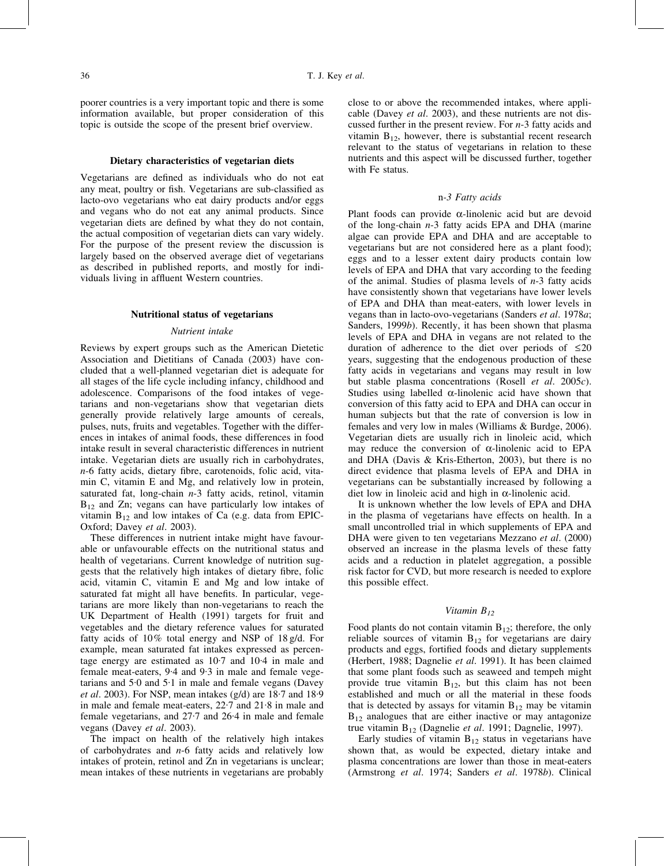poorer countries is a very important topic and there is some information available, but proper consideration of this topic is outside the scope of the present brief overview.

#### Dietary characteristics of vegetarian diets

Vegetarians are defined as individuals who do not eat any meat, poultry or fish. Vegetarians are sub-classified as lacto-ovo vegetarians who eat dairy products and/or eggs and vegans who do not eat any animal products. Since vegetarian diets are defined by what they do not contain, the actual composition of vegetarian diets can vary widely. For the purpose of the present review the discussion is largely based on the observed average diet of vegetarians as described in published reports, and mostly for individuals living in affluent Western countries.

# Nutritional status of vegetarians

## Nutrient intake

Reviews by expert groups such as the American Dietetic Association and Dietitians of Canada (2003) have concluded that a well-planned vegetarian diet is adequate for all stages of the life cycle including infancy, childhood and adolescence. Comparisons of the food intakes of vegetarians and non-vegetarians show that vegetarian diets generally provide relatively large amounts of cereals, pulses, nuts, fruits and vegetables. Together with the differences in intakes of animal foods, these differences in food intake result in several characteristic differences in nutrient intake. Vegetarian diets are usually rich in carbohydrates, n-6 fatty acids, dietary fibre, carotenoids, folic acid, vitamin C, vitamin E and Mg, and relatively low in protein, saturated fat, long-chain  $n-3$  fatty acids, retinol, vitamin  $B_{12}$  and Zn; vegans can have particularly low intakes of vitamin  $B_{12}$  and low intakes of Ca (e.g. data from EPIC-Oxford; Davey et al. 2003).

These differences in nutrient intake might have favourable or unfavourable effects on the nutritional status and health of vegetarians. Current knowledge of nutrition suggests that the relatively high intakes of dietary fibre, folic acid, vitamin C, vitamin E and Mg and low intake of saturated fat might all have benefits. In particular, vegetarians are more likely than non-vegetarians to reach the UK Department of Health (1991) targets for fruit and vegetables and the dietary reference values for saturated fatty acids of 10% total energy and NSP of 18 g/d. For example, mean saturated fat intakes expressed as percentage energy are estimated as 10.7 and 10.4 in male and female meat-eaters, 9. 4 and 9. 3 in male and female vegetarians and 5. 0 and 5. 1 in male and female vegans (Davey *et al.* 2003). For NSP, mean intakes (g/d) are  $18.7$  and  $18.9$ in male and female meat-eaters, 22. 7 and 21. 8 in male and female vegetarians, and 27. 7 and 26. 4 in male and female vegans (Davey et al. 2003).

The impact on health of the relatively high intakes of carbohydrates and  $n-6$  fatty acids and relatively low intakes of protein, retinol and Zn in vegetarians is unclear; mean intakes of these nutrients in vegetarians are probably

close to or above the recommended intakes, where applicable (Davey et al. 2003), and these nutrients are not discussed further in the present review. For n-3 fatty acids and vitamin  $B_{12}$ , however, there is substantial recent research relevant to the status of vegetarians in relation to these nutrients and this aspect will be discussed further, together with Fe status.

#### n-3 Fatty acids

Plant foods can provide  $\alpha$ -linolenic acid but are devoid of the long-chain  $n-3$  fatty acids EPA and DHA (marine algae can provide EPA and DHA and are acceptable to vegetarians but are not considered here as a plant food); eggs and to a lesser extent dairy products contain low levels of EPA and DHA that vary according to the feeding of the animal. Studies of plasma levels of  $n-3$  fatty acids have consistently shown that vegetarians have lower levels of EPA and DHA than meat-eaters, with lower levels in vegans than in lacto-ovo-vegetarians (Sanders et al. 1978a; Sanders, 1999b). Recently, it has been shown that plasma levels of EPA and DHA in vegans are not related to the duration of adherence to the diet over periods of  $\leq 20$ years, suggesting that the endogenous production of these fatty acids in vegetarians and vegans may result in low but stable plasma concentrations (Rosell et al. 2005c). Studies using labelled  $\alpha$ -linolenic acid have shown that conversion of this fatty acid to EPA and DHA can occur in human subjects but that the rate of conversion is low in females and very low in males (Williams & Burdge, 2006). Vegetarian diets are usually rich in linoleic acid, which may reduce the conversion of  $\alpha$ -linolenic acid to EPA and DHA (Davis & Kris-Etherton, 2003), but there is no direct evidence that plasma levels of EPA and DHA in vegetarians can be substantially increased by following a diet low in linoleic acid and high in  $\alpha$ -linolenic acid.

It is unknown whether the low levels of EPA and DHA in the plasma of vegetarians have effects on health. In a small uncontrolled trial in which supplements of EPA and DHA were given to ten vegetarians Mezzano et al. (2000) observed an increase in the plasma levels of these fatty acids and a reduction in platelet aggregation, a possible risk factor for CVD, but more research is needed to explore this possible effect.

# Vitamin B<sub>12</sub>

Food plants do not contain vitamin  $B_{12}$ ; therefore, the only reliable sources of vitamin  $B_{12}$  for vegetarians are dairy products and eggs, fortified foods and dietary supplements (Herbert, 1988; Dagnelie et al. 1991). It has been claimed that some plant foods such as seaweed and tempeh might provide true vitamin  $B_{12}$ , but this claim has not been established and much or all the material in these foods that is detected by assays for vitamin  $B_{12}$  may be vitamin  $B_{12}$  analogues that are either inactive or may antagonize true vitamin B12 (Dagnelie et al. 1991; Dagnelie, 1997).

Early studies of vitamin  $B_{12}$  status in vegetarians have shown that, as would be expected, dietary intake and plasma concentrations are lower than those in meat-eaters (Armstrong et al. 1974; Sanders et al. 1978b). Clinical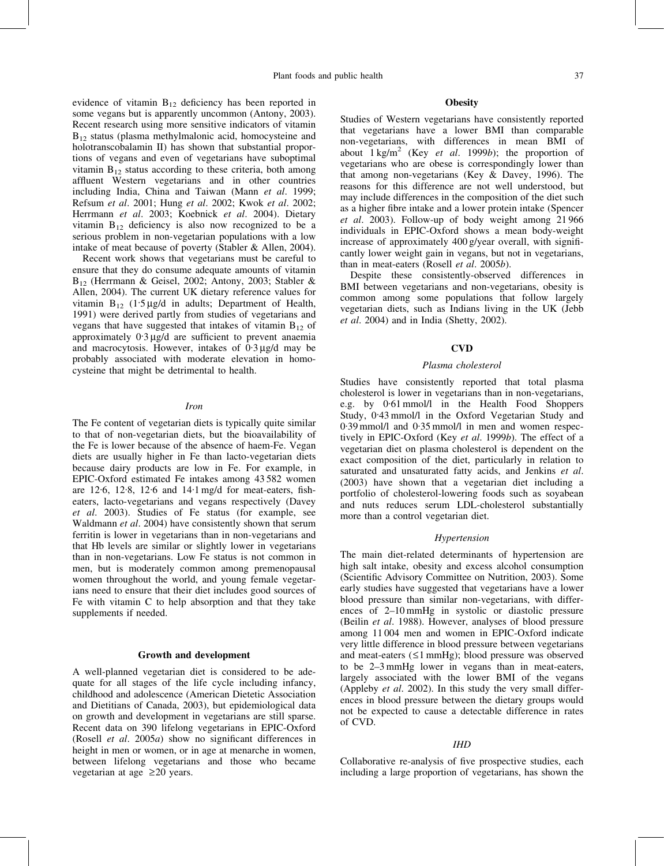evidence of vitamin  $B_{12}$  deficiency has been reported in some vegans but is apparently uncommon (Antony, 2003). Recent research using more sensitive indicators of vitamin  $B_{12}$  status (plasma methylmalonic acid, homocysteine and holotranscobalamin II) has shown that substantial proportions of vegans and even of vegetarians have suboptimal vitamin  $B_{12}$  status according to these criteria, both among affluent Western vegetarians and in other countries including India, China and Taiwan (Mann et al. 1999; Refsum et al. 2001; Hung et al. 2002; Kwok et al. 2002; Herrmann et al. 2003; Koebnick et al. 2004). Dietary vitamin  $B_{12}$  deficiency is also now recognized to be a serious problem in non-vegetarian populations with a low intake of meat because of poverty (Stabler & Allen, 2004).

Recent work shows that vegetarians must be careful to ensure that they do consume adequate amounts of vitamin B12 (Herrmann & Geisel, 2002; Antony, 2003; Stabler & Allen, 2004). The current UK dietary reference values for vitamin  $B_{12}$  (1.5 µg/d in adults; Department of Health, 1991) were derived partly from studies of vegetarians and vegans that have suggested that intakes of vitamin  $B_{12}$  of approximately  $0.3 \mu\text{g/d}$  are sufficient to prevent anaemia and macrocytosis. However, intakes of  $\overline{0.3 \mu g/d}$  may be probably associated with moderate elevation in homocysteine that might be detrimental to health.

#### Iron

The Fe content of vegetarian diets is typically quite similar to that of non-vegetarian diets, but the bioavailability of the Fe is lower because of the absence of haem-Fe. Vegan diets are usually higher in Fe than lacto-vegetarian diets because dairy products are low in Fe. For example, in EPIC-Oxford estimated Fe intakes among 43 582 women are 12. 6, 12. 8, 12. 6 and 14. 1 mg/d for meat-eaters, fisheaters, lacto-vegetarians and vegans respectively (Davey et al. 2003). Studies of Fe status (for example, see Waldmann et al. 2004) have consistently shown that serum ferritin is lower in vegetarians than in non-vegetarians and that Hb levels are similar or slightly lower in vegetarians than in non-vegetarians. Low Fe status is not common in men, but is moderately common among premenopausal women throughout the world, and young female vegetarians need to ensure that their diet includes good sources of Fe with vitamin C to help absorption and that they take supplements if needed.

## Growth and development

A well-planned vegetarian diet is considered to be adequate for all stages of the life cycle including infancy, childhood and adolescence (American Dietetic Association and Dietitians of Canada, 2003), but epidemiological data on growth and development in vegetarians are still sparse. Recent data on 390 lifelong vegetarians in EPIC-Oxford (Rosell et al. 2005a) show no significant differences in height in men or women, or in age at menarche in women, between lifelong vegetarians and those who became vegetarian at age  $\geq 20$  years.

# **Obesity**

Studies of Western vegetarians have consistently reported that vegetarians have a lower BMI than comparable non-vegetarians, with differences in mean BMI of about  $1 \text{ kg/m}^2$  (Key *et al.* 1999*b*); the proportion of vegetarians who are obese is correspondingly lower than that among non-vegetarians (Key & Davey, 1996). The reasons for this difference are not well understood, but may include differences in the composition of the diet such as a higher fibre intake and a lower protein intake (Spencer et al. 2003). Follow-up of body weight among 21 966 individuals in EPIC-Oxford shows a mean body-weight increase of approximately 400 g/year overall, with significantly lower weight gain in vegans, but not in vegetarians, than in meat-eaters (Rosell et al. 2005b).

Despite these consistently-observed differences in BMI between vegetarians and non-vegetarians, obesity is common among some populations that follow largely vegetarian diets, such as Indians living in the UK (Jebb et al. 2004) and in India (Shetty, 2002).

# CVD

## Plasma cholesterol

Studies have consistently reported that total plasma cholesterol is lower in vegetarians than in non-vegetarians, e.g. by 0. 61 mmol/l in the Health Food Shoppers Study, 0.43 mmol/l in the Oxford Vegetarian Study and 0.39 mmol/l and 0.35 mmol/l in men and women respectively in EPIC-Oxford (Key et al. 1999b). The effect of a vegetarian diet on plasma cholesterol is dependent on the exact composition of the diet, particularly in relation to saturated and unsaturated fatty acids, and Jenkins et al. (2003) have shown that a vegetarian diet including a portfolio of cholesterol-lowering foods such as soyabean and nuts reduces serum LDL-cholesterol substantially more than a control vegetarian diet.

# Hypertension

The main diet-related determinants of hypertension are high salt intake, obesity and excess alcohol consumption (Scientific Advisory Committee on Nutrition, 2003). Some early studies have suggested that vegetarians have a lower blood pressure than similar non-vegetarians, with differences of 2–10 mmHg in systolic or diastolic pressure (Beilin et al. 1988). However, analyses of blood pressure among 11 004 men and women in EPIC-Oxford indicate very little difference in blood pressure between vegetarians and meat-eaters  $(≤1 mmHg)$ ; blood pressure was observed to be 2–3 mmHg lower in vegans than in meat-eaters, largely associated with the lower BMI of the vegans (Appleby et al. 2002). In this study the very small differences in blood pressure between the dietary groups would not be expected to cause a detectable difference in rates of CVD.

#### IHD

Collaborative re-analysis of five prospective studies, each including a large proportion of vegetarians, has shown the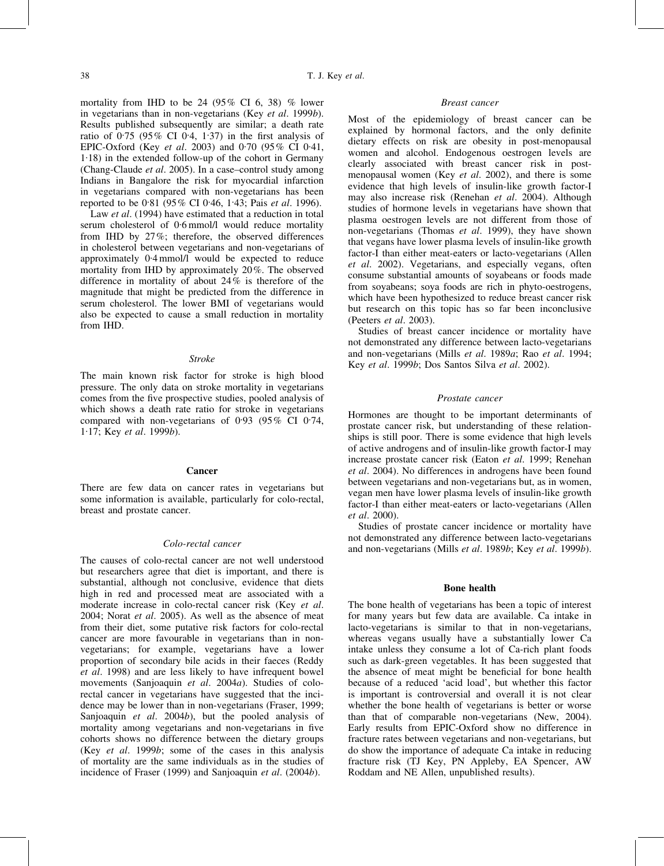mortality from IHD to be 24 (95% CI 6, 38) % lower in vegetarians than in non-vegetarians (Key et al. 1999b). Results published subsequently are similar; a death rate ratio of  $0.75$  (95% CI  $0.4$ , 1.37) in the first analysis of EPIC-Oxford (Key et al. 2003) and 0.70 (95% CI 0.41, 1. 18) in the extended follow-up of the cohort in Germany (Chang-Claude et al. 2005). In a case–control study among Indians in Bangalore the risk for myocardial infarction in vegetarians compared with non-vegetarians has been reported to be  $0.81$  (95% CI 0.46, 1.43; Pais *et al.* 1996).

Law et al. (1994) have estimated that a reduction in total serum cholesterol of 0.6 mmol/l would reduce mortality from IHD by 27%; therefore, the observed differences in cholesterol between vegetarians and non-vegetarians of approximately 0. 4 mmol/l would be expected to reduce mortality from IHD by approximately 20%. The observed difference in mortality of about 24% is therefore of the magnitude that might be predicted from the difference in serum cholesterol. The lower BMI of vegetarians would also be expected to cause a small reduction in mortality from IHD.

#### Stroke

The main known risk factor for stroke is high blood pressure. The only data on stroke mortality in vegetarians comes from the five prospective studies, pooled analysis of which shows a death rate ratio for stroke in vegetarians compared with non-vegetarians of 0.93 (95%  $\text{CI}$  0.74,  $1.17$ ; Key et al. 1999b).

# Cancer

There are few data on cancer rates in vegetarians but some information is available, particularly for colo-rectal, breast and prostate cancer.

# Colo-rectal cancer

The causes of colo-rectal cancer are not well understood but researchers agree that diet is important, and there is substantial, although not conclusive, evidence that diets high in red and processed meat are associated with a moderate increase in colo-rectal cancer risk (Key et al. 2004; Norat et al. 2005). As well as the absence of meat from their diet, some putative risk factors for colo-rectal cancer are more favourable in vegetarians than in nonvegetarians; for example, vegetarians have a lower proportion of secondary bile acids in their faeces (Reddy et al. 1998) and are less likely to have infrequent bowel movements (Sanjoaquin et al. 2004a). Studies of colorectal cancer in vegetarians have suggested that the incidence may be lower than in non-vegetarians (Fraser, 1999; Sanjoaquin et al. 2004b), but the pooled analysis of mortality among vegetarians and non-vegetarians in five cohorts shows no difference between the dietary groups (Key et al. 1999b; some of the cases in this analysis of mortality are the same individuals as in the studies of incidence of Fraser (1999) and Sanjoaquin et al. (2004b).

# Breast cancer

Most of the epidemiology of breast cancer can be explained by hormonal factors, and the only definite dietary effects on risk are obesity in post-menopausal women and alcohol. Endogenous oestrogen levels are clearly associated with breast cancer risk in postmenopausal women (Key et al. 2002), and there is some evidence that high levels of insulin-like growth factor-I may also increase risk (Renehan et al. 2004). Although studies of hormone levels in vegetarians have shown that plasma oestrogen levels are not different from those of non-vegetarians (Thomas et al. 1999), they have shown that vegans have lower plasma levels of insulin-like growth factor-I than either meat-eaters or lacto-vegetarians (Allen et al. 2002). Vegetarians, and especially vegans, often consume substantial amounts of soyabeans or foods made from soyabeans; soya foods are rich in phyto-oestrogens, which have been hypothesized to reduce breast cancer risk but research on this topic has so far been inconclusive (Peeters et al. 2003).

Studies of breast cancer incidence or mortality have not demonstrated any difference between lacto-vegetarians and non-vegetarians (Mills et al. 1989a; Rao et al. 1994; Key et al. 1999b; Dos Santos Silva et al. 2002).

# Prostate cancer

Hormones are thought to be important determinants of prostate cancer risk, but understanding of these relationships is still poor. There is some evidence that high levels of active androgens and of insulin-like growth factor-I may increase prostate cancer risk (Eaton et al. 1999; Renehan et al. 2004). No differences in androgens have been found between vegetarians and non-vegetarians but, as in women, vegan men have lower plasma levels of insulin-like growth factor-I than either meat-eaters or lacto-vegetarians (Allen et al. 2000).

Studies of prostate cancer incidence or mortality have not demonstrated any difference between lacto-vegetarians and non-vegetarians (Mills et al. 1989b; Key et al. 1999b).

# Bone health

The bone health of vegetarians has been a topic of interest for many years but few data are available. Ca intake in lacto-vegetarians is similar to that in non-vegetarians, whereas vegans usually have a substantially lower Ca intake unless they consume a lot of Ca-rich plant foods such as dark-green vegetables. It has been suggested that the absence of meat might be beneficial for bone health because of a reduced 'acid load', but whether this factor is important is controversial and overall it is not clear whether the bone health of vegetarians is better or worse than that of comparable non-vegetarians (New, 2004). Early results from EPIC-Oxford show no difference in fracture rates between vegetarians and non-vegetarians, but do show the importance of adequate Ca intake in reducing fracture risk (TJ Key, PN Appleby, EA Spencer, AW Roddam and NE Allen, unpublished results).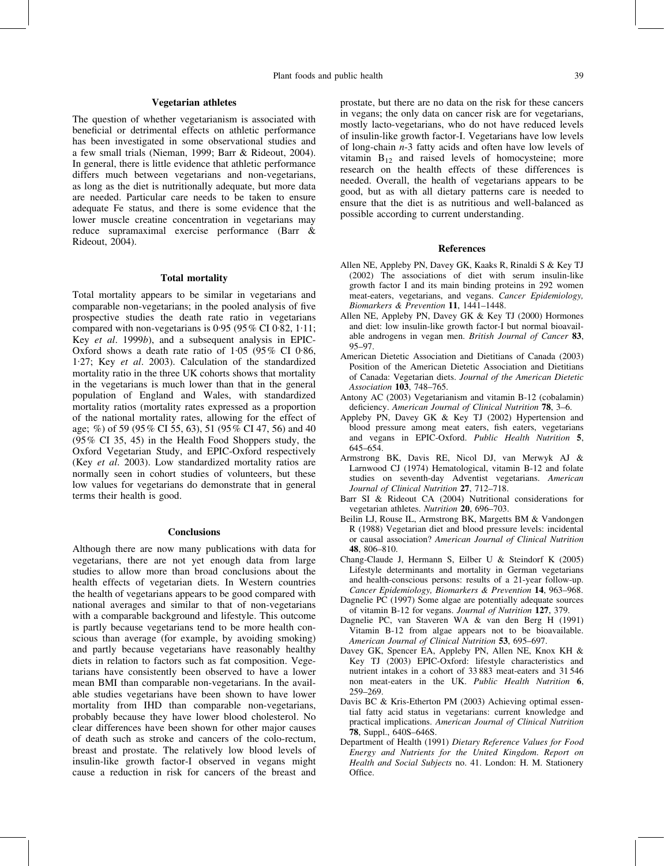# Vegetarian athletes

The question of whether vegetarianism is associated with beneficial or detrimental effects on athletic performance has been investigated in some observational studies and a few small trials (Nieman, 1999; Barr & Rideout, 2004). In general, there is little evidence that athletic performance differs much between vegetarians and non-vegetarians, as long as the diet is nutritionally adequate, but more data are needed. Particular care needs to be taken to ensure adequate Fe status, and there is some evidence that the lower muscle creatine concentration in vegetarians may reduce supramaximal exercise performance (Barr & Rideout, 2004).

#### Total mortality

Total mortality appears to be similar in vegetarians and comparable non-vegetarians; in the pooled analysis of five prospective studies the death rate ratio in vegetarians compared with non-vegetarians is  $0.95$  (95% CI  $0.82$ , 1.11; Key et al. 1999b), and a subsequent analysis in EPIC-Oxford shows a death rate ratio of  $1.05$  (95% CI 0.86, 1. 27; Key et al. 2003). Calculation of the standardized mortality ratio in the three UK cohorts shows that mortality in the vegetarians is much lower than that in the general population of England and Wales, with standardized mortality ratios (mortality rates expressed as a proportion of the national mortality rates, allowing for the effect of age; %) of 59 (95% CI 55, 63), 51 (95% CI 47, 56) and 40 (95% CI 35, 45) in the Health Food Shoppers study, the Oxford Vegetarian Study, and EPIC-Oxford respectively (Key et al. 2003). Low standardized mortality ratios are normally seen in cohort studies of volunteers, but these low values for vegetarians do demonstrate that in general terms their health is good.

## **Conclusions**

Although there are now many publications with data for vegetarians, there are not yet enough data from large studies to allow more than broad conclusions about the health effects of vegetarian diets. In Western countries the health of vegetarians appears to be good compared with national averages and similar to that of non-vegetarians with a comparable background and lifestyle. This outcome is partly because vegetarians tend to be more health conscious than average (for example, by avoiding smoking) and partly because vegetarians have reasonably healthy diets in relation to factors such as fat composition. Vegetarians have consistently been observed to have a lower mean BMI than comparable non-vegetarians. In the available studies vegetarians have been shown to have lower mortality from IHD than comparable non-vegetarians, probably because they have lower blood cholesterol. No clear differences have been shown for other major causes of death such as stroke and cancers of the colo-rectum, breast and prostate. The relatively low blood levels of insulin-like growth factor-I observed in vegans might cause a reduction in risk for cancers of the breast and

prostate, but there are no data on the risk for these cancers in vegans; the only data on cancer risk are for vegetarians, mostly lacto-vegetarians, who do not have reduced levels of insulin-like growth factor-I. Vegetarians have low levels of long-chain  $n-3$  fatty acids and often have low levels of vitamin  $B_{12}$  and raised levels of homocysteine; more research on the health effects of these differences is needed. Overall, the health of vegetarians appears to be good, but as with all dietary patterns care is needed to ensure that the diet is as nutritious and well-balanced as possible according to current understanding.

# References

- Allen NE, Appleby PN, Davey GK, Kaaks R, Rinaldi S & Key TJ (2002) The associations of diet with serum insulin-like growth factor I and its main binding proteins in 292 women meat-eaters, vegetarians, and vegans. Cancer Epidemiology, Biomarkers & Prevention 11, 1441–1448.
- Allen NE, Appleby PN, Davey GK & Key TJ (2000) Hormones and diet: low insulin-like growth factor-I but normal bioavailable androgens in vegan men. British Journal of Cancer 83, 95–97.
- American Dietetic Association and Dietitians of Canada (2003) Position of the American Dietetic Association and Dietitians of Canada: Vegetarian diets. Journal of the American Dietetic Association 103, 748–765.
- Antony AC (2003) Vegetarianism and vitamin B-12 (cobalamin) deficiency. American Journal of Clinical Nutrition 78, 3–6.
- Appleby PN, Davey GK & Key TJ (2002) Hypertension and blood pressure among meat eaters, fish eaters, vegetarians and vegans in EPIC-Oxford. Public Health Nutrition 5, 645–654.
- Armstrong BK, Davis RE, Nicol DJ, van Merwyk AJ & Larnwood CJ (1974) Hematological, vitamin B-12 and folate studies on seventh-day Adventist vegetarians. American Journal of Clinical Nutrition 27, 712-718.
- Barr SI & Rideout CA (2004) Nutritional considerations for vegetarian athletes. Nutrition 20, 696–703.
- Beilin LJ, Rouse IL, Armstrong BK, Margetts BM & Vandongen R (1988) Vegetarian diet and blood pressure levels: incidental or causal association? American Journal of Clinical Nutrition 48, 806–810.
- Chang-Claude J, Hermann S, Eilber U & Steindorf K (2005) Lifestyle determinants and mortality in German vegetarians and health-conscious persons: results of a 21-year follow-up. Cancer Epidemiology, Biomarkers & Prevention 14, 963–968.
- Dagnelie PC (1997) Some algae are potentially adequate sources of vitamin B-12 for vegans. Journal of Nutrition 127, 379.
- Dagnelie PC, van Staveren WA & van den Berg H (1991) Vitamin B-12 from algae appears not to be bioavailable. American Journal of Clinical Nutrition 53, 695–697.
- Davey GK, Spencer EA, Appleby PN, Allen NE, Knox KH & Key TJ (2003) EPIC-Oxford: lifestyle characteristics and nutrient intakes in a cohort of 33 883 meat-eaters and 31 546 non meat-eaters in the UK. Public Health Nutrition 6, 259–269.
- Davis BC & Kris-Etherton PM (2003) Achieving optimal essential fatty acid status in vegetarians: current knowledge and practical implications. American Journal of Clinical Nutrition 78, Suppl., 640S–646S.
- Department of Health (1991) Dietary Reference Values for Food Energy and Nutrients for the United Kingdom. Report on Health and Social Subjects no. 41. London: H. M. Stationery Office.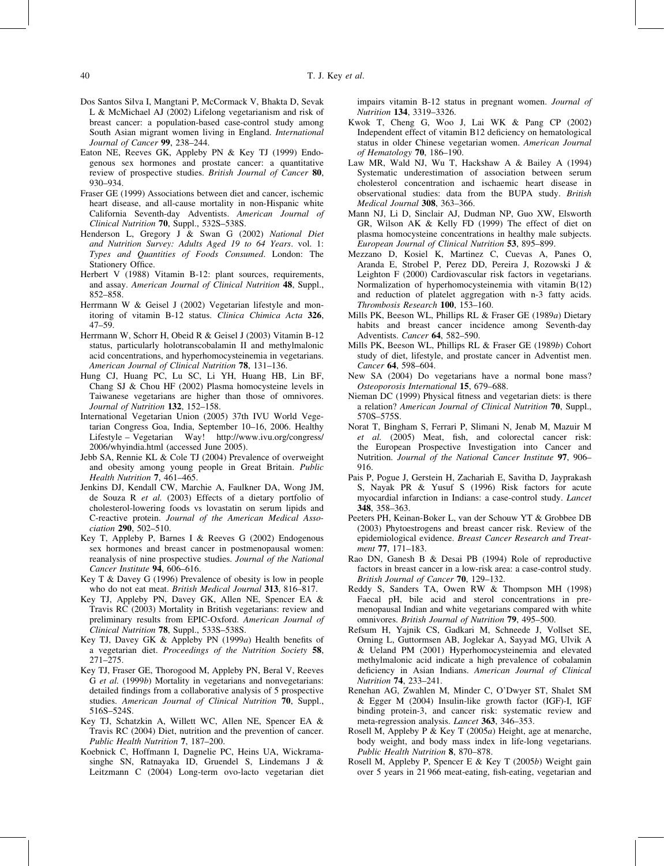- Dos Santos Silva I, Mangtani P, McCormack V, Bhakta D, Sevak L & McMichael AJ (2002) Lifelong vegetarianism and risk of breast cancer: a population-based case-control study among South Asian migrant women living in England. International Journal of Cancer 99, 238–244.
- Eaton NE, Reeves GK, Appleby PN & Key TJ (1999) Endogenous sex hormones and prostate cancer: a quantitative review of prospective studies. British Journal of Cancer 80, 930–934.
- Fraser GE (1999) Associations between diet and cancer, ischemic heart disease, and all-cause mortality in non-Hispanic white California Seventh-day Adventists. American Journal of Clinical Nutrition 70, Suppl., 532S–538S.
- Henderson L, Gregory J & Swan G (2002) National Diet and Nutrition Survey: Adults Aged 19 to 64 Years. vol. 1: Types and Quantities of Foods Consumed. London: The Stationery Office.
- Herbert V (1988) Vitamin B-12: plant sources, requirements, and assay. American Journal of Clinical Nutrition 48, Suppl., 852–858.
- Herrmann W & Geisel J (2002) Vegetarian lifestyle and monitoring of vitamin B-12 status. Clinica Chimica Acta 326, 47–59.
- Herrmann W, Schorr H, Obeid R & Geisel J (2003) Vitamin B-12 status, particularly holotranscobalamin II and methylmalonic acid concentrations, and hyperhomocysteinemia in vegetarians. American Journal of Clinical Nutrition 78, 131–136.
- Hung CJ, Huang PC, Lu SC, Li YH, Huang HB, Lin BF, Chang SJ & Chou HF (2002) Plasma homocysteine levels in Taiwanese vegetarians are higher than those of omnivores. Journal of Nutrition 132, 152–158.
- International Vegetarian Union (2005) 37th IVU World Vegetarian Congress Goa, India, September 10–16, 2006. Healthy Lifestyle – Vegetarian Way! http://www.ivu.org/congress/ 2006/whyindia.html (accessed June 2005).
- Jebb SA, Rennie KL & Cole TJ (2004) Prevalence of overweight and obesity among young people in Great Britain. Public Health Nutrition 7, 461–465.
- Jenkins DJ, Kendall CW, Marchie A, Faulkner DA, Wong JM, de Souza R et al. (2003) Effects of a dietary portfolio of cholesterol-lowering foods vs lovastatin on serum lipids and C-reactive protein. Journal of the American Medical Association 290, 502–510.
- Key T, Appleby P, Barnes I & Reeves G (2002) Endogenous sex hormones and breast cancer in postmenopausal women: reanalysis of nine prospective studies. Journal of the National Cancer Institute 94, 606–616.
- Key T & Davey G (1996) Prevalence of obesity is low in people who do not eat meat. British Medical Journal 313, 816–817.
- Key TJ, Appleby PN, Davey GK, Allen NE, Spencer EA & Travis RC (2003) Mortality in British vegetarians: review and preliminary results from EPIC-Oxford. American Journal of Clinical Nutrition 78, Suppl., 533S–538S.
- Key TJ, Davey GK & Appleby PN (1999a) Health benefits of a vegetarian diet. Proceedings of the Nutrition Society 58, 271–275.
- Key TJ, Fraser GE, Thorogood M, Appleby PN, Beral V, Reeves G et al. (1999b) Mortality in vegetarians and nonvegetarians: detailed findings from a collaborative analysis of 5 prospective studies. American Journal of Clinical Nutrition 70, Suppl., 516S–524S.
- Key TJ, Schatzkin A, Willett WC, Allen NE, Spencer EA & Travis RC (2004) Diet, nutrition and the prevention of cancer. Public Health Nutrition 7, 187–200.
- Koebnick C, Hoffmann I, Dagnelie PC, Heins UA, Wickramasinghe SN, Ratnayaka ID, Gruendel S, Lindemans J & Leitzmann C (2004) Long-term ovo-lacto vegetarian diet

impairs vitamin B-12 status in pregnant women. Journal of Nutrition 134, 3319–3326.

- Kwok T, Cheng G, Woo J, Lai WK & Pang CP (2002) Independent effect of vitamin B12 deficiency on hematological status in older Chinese vegetarian women. American Journal of Hematology 70, 186–190.
- Law MR, Wald NJ, Wu T, Hackshaw A & Bailey A (1994) Systematic underestimation of association between serum cholesterol concentration and ischaemic heart disease in observational studies: data from the BUPA study. British Medical Journal 308, 363–366.
- Mann NJ, Li D, Sinclair AJ, Dudman NP, Guo XW, Elsworth GR, Wilson AK & Kelly FD (1999) The effect of diet on plasma homocysteine concentrations in healthy male subjects. European Journal of Clinical Nutrition 53, 895–899.
- Mezzano D, Kosiel K, Martinez C, Cuevas A, Panes O, Aranda E, Strobel P, Perez DD, Pereira J, Rozowski J & Leighton F (2000) Cardiovascular risk factors in vegetarians. Normalization of hyperhomocysteinemia with vitamin B(12) and reduction of platelet aggregation with n-3 fatty acids. Thrombosis Research 100, 153–160.
- Mills PK, Beeson WL, Phillips RL & Fraser GE (1989a) Dietary habits and breast cancer incidence among Seventh-day Adventists. Cancer 64, 582–590.
- Mills PK, Beeson WL, Phillips RL & Fraser GE (1989b) Cohort study of diet, lifestyle, and prostate cancer in Adventist men. Cancer 64, 598–604.
- New SA (2004) Do vegetarians have a normal bone mass? Osteoporosis International 15, 679–688.
- Nieman DC (1999) Physical fitness and vegetarian diets: is there a relation? American Journal of Clinical Nutrition 70, Suppl., 570S–575S.
- Norat T, Bingham S, Ferrari P, Slimani N, Jenab M, Mazuir M et al. (2005) Meat, fish, and colorectal cancer risk: the European Prospective Investigation into Cancer and Nutrition. Journal of the National Cancer Institute 97, 906– 916.
- Pais P, Pogue J, Gerstein H, Zachariah E, Savitha D, Jayprakash S, Nayak PR & Yusuf S (1996) Risk factors for acute myocardial infarction in Indians: a case-control study. Lancet 348, 358–363.
- Peeters PH, Keinan-Boker L, van der Schouw YT & Grobbee DB (2003) Phytoestrogens and breast cancer risk. Review of the epidemiological evidence. Breast Cancer Research and Treatment 77, 171–183.
- Rao DN, Ganesh B & Desai PB (1994) Role of reproductive factors in breast cancer in a low-risk area: a case-control study. British Journal of Cancer 70, 129–132.
- Reddy S, Sanders TA, Owen RW & Thompson MH (1998) Faecal pH, bile acid and sterol concentrations in premenopausal Indian and white vegetarians compared with white omnivores. British Journal of Nutrition 79, 495–500.
- Refsum H, Yajnik CS, Gadkari M, Schneede J, Vollset SE, Orning L, Guttormsen AB, Joglekar A, Sayyad MG, Ulvik A & Ueland PM (2001) Hyperhomocysteinemia and elevated methylmalonic acid indicate a high prevalence of cobalamin deficiency in Asian Indians. American Journal of Clinical Nutrition 74, 233–241.
- Renehan AG, Zwahlen M, Minder C, O'Dwyer ST, Shalet SM & Egger M (2004) Insulin-like growth factor (IGF)-I, IGF binding protein-3, and cancer risk: systematic review and meta-regression analysis. Lancet 363, 346–353.
- Rosell M, Appleby P & Key T (2005a) Height, age at menarche, body weight, and body mass index in life-long vegetarians. Public Health Nutrition 8, 870–878.
- Rosell M, Appleby P, Spencer E & Key T (2005b) Weight gain over 5 years in 21 966 meat-eating, fish-eating, vegetarian and